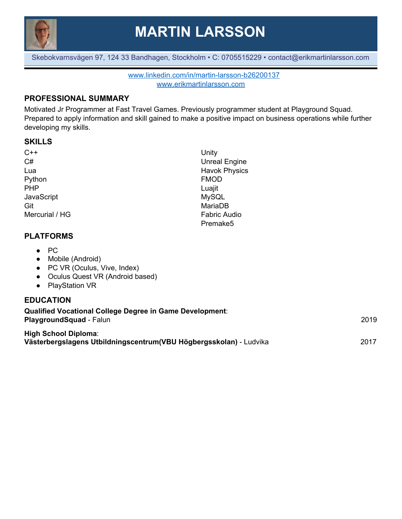

**MARTIN LARSSON**

Skebokvarnsvägen 97, 124 33 Bandhagen, Stockholm • C: 0705515229 • contact@erikmartinlarsson.com

[www.linkedin.com/in/martin-larsson-b26200137](http://www.linkedin.com/in/martin-larsson-b26200137) [www.erikmartinlarsson.com](http://www.erikmartinlarsson.com/)

## **PROFESSIONAL SUMMARY**

Motivated Jr Programmer at Fast Travel Games. Previously programmer student at Playground Squad. Prepared to apply information and skill gained to make a positive impact on business operations while further developing my skills.

#### **SKILLS**

| $C++$                                        | Unity                |
|----------------------------------------------|----------------------|
| C#                                           | <b>Unreal Engine</b> |
| Lua                                          | <b>Havok Physics</b> |
| Python                                       | <b>FMOD</b>          |
| <b>PHP</b>                                   | Luajit               |
| JavaScript                                   | <b>MySQL</b>         |
| Git                                          | MariaDB              |
| Mercurial / HG                               | <b>Fabric Audio</b>  |
|                                              | Premake <sub>5</sub> |
| <b>PLATFORMS</b>                             |                      |
| $\bullet$ PC                                 |                      |
| Mobile (Android)<br>$\bullet$                |                      |
| PC VR (Oculus, Vive, Index)<br>$\bullet$     |                      |
| Oculus Quest VR (Android based)<br>$\bullet$ |                      |
| <b>PlayStation VR</b><br>$\bullet$           |                      |
| <b>EDUCATION</b>                             |                      |

| Qualified Vocational College Degree in Game Development:<br><b>PlaygroundSquad - Falun</b>        | 2019 |
|---------------------------------------------------------------------------------------------------|------|
| <b>High School Diploma:</b><br>Västerbergslagens Utbildningscentrum(VBU Högbergsskolan) - Ludvika | 2017 |